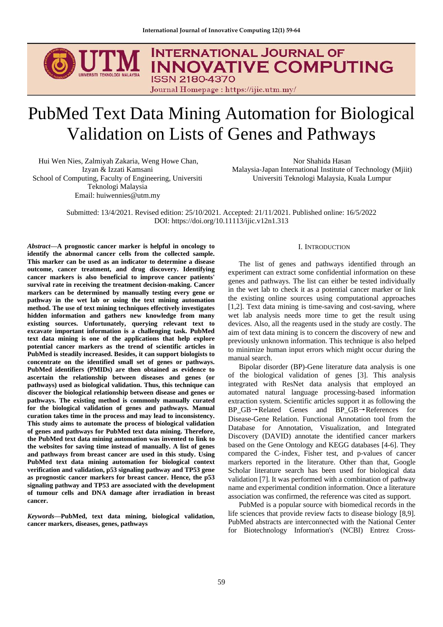

# PubMed Text Data Mining Automation for Biological Validation on Lists of Genes and Pathways

Hui Wen Nies, Zalmiyah Zakaria, Weng Howe Chan, Izyan & Izzati Kamsani School of Computing, Faculty of Engineering, Universiti Teknologi Malaysia Email: huiwennies@utm.my

Nor Shahida Hasan Malaysia-Japan International Institute of Technology (Mjiit) Universiti Teknologi Malaysia, Kuala Lumpur

Submitted: 13/4/2021. Revised edition: 25/10/2021. Accepted: 21/11/2021. Published online: 16/5/2022 DOI: https://doi.org/10.11113/ijic.v12n1.313

*Abstract***—A prognostic cancer marker is helpful in oncology to identify the abnormal cancer cells from the collected sample. This marker can be used as an indicator to determine a disease outcome, cancer treatment, and drug discovery. Identifying cancer markers is also beneficial to improve cancer patients' survival rate in receiving the treatment decision-making. Cancer markers can be determined by manually testing every gene or pathway in the wet lab or using the text mining automation method. The use of text mining techniques effectively investigates hidden information and gathers new knowledge from many existing sources. Unfortunately, querying relevant text to excavate important information is a challenging task. PubMed text data mining is one of the applications that help explore potential cancer markers as the trend of scientific articles in PubMed is steadily increased. Besides, it can support biologists to concentrate on the identified small set of genes or pathways. PubMed identifiers (PMIDs) are then obtained as evidence to ascertain the relationship between diseases and genes (or pathways) used as biological validation. Thus, this technique can discover the biological relationship between disease and genes or pathways. The existing method is commonly manually curated for the biological validation of genes and pathways. Manual curation takes time in the process and may lead to inconsistency. This study aims to automate the process of biological validation of genes and pathways for PubMed text data mining. Therefore, the PubMed text data mining automation was invented to link to the websites for saving time instead of manually. A list of genes and pathways from breast cancer are used in this study. Using PubMed text data mining automation for biological context verification and validation, p53 signaling pathway and TP53 gene as prognostic cancer markers for breast cancer. Hence, the p53 signaling pathway and TP53 are associated with the development of tumour cells and DNA damage after irradiation in breast cancer.**

*Keywords***—PubMed, text data mining, biological validation, cancer markers, diseases, genes, pathways**

### I. INTRODUCTION

The list of genes and pathways identified through an experiment can extract some confidential information on these genes and pathways. The list can either be tested individually in the wet lab to check it as a potential cancer marker or link the existing online sources using computational approaches [1,2]. Text data mining is time-saving and cost-saving, where wet lab analysis needs more time to get the result using devices. Also, all the reagents used in the study are costly. The aim of text data mining is to concern the discovery of new and previously unknown information. This technique is also helped to minimize human input errors which might occur during the manual search.

Bipolar disorder (BP)-Gene literature data analysis is one of the biological validation of genes [3]. This analysis integrated with ResNet data analysis that employed an automated natural language processing-based information extraction system. Scientific articles support it as following the BP\_GB→Related Genes and BP\_GB→References for Disease-Gene Relation. Functional Annotation tool from the Database for Annotation, Visualization, and Integrated Discovery (DAVID) annotate the identified cancer markers based on the Gene Ontology and KEGG databases [4-6]. They compared the C-index, Fisher test, and p-values of cancer markers reported in the literature. Other than that, Google Scholar literature search has been used for biological data validation [7]. It was performed with a combination of pathway name and experimental condition information. Once a literature association was confirmed, the reference was cited as support.

PubMed is a popular source with biomedical records in the life sciences that provide review facts to disease biology [8,9]. PubMed abstracts are interconnected with the National Center for Biotechnology Information's (NCBI) Entrez Cross-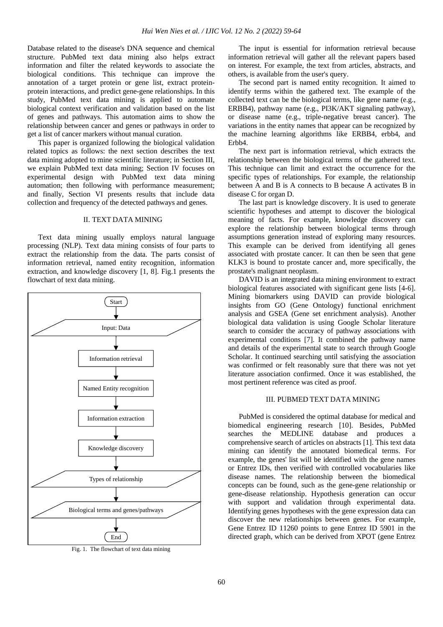Database related to the disease's DNA sequence and chemical structure. PubMed text data mining also helps extract information and filter the related keywords to associate the biological conditions. This technique can improve the annotation of a target protein or gene list, extract proteinprotein interactions, and predict gene-gene relationships. In this study, PubMed text data mining is applied to automate biological context verification and validation based on the list of genes and pathways. This automation aims to show the relationship between cancer and genes or pathways in order to get a list of cancer markers without manual curation.

This paper is organized following the biological validation related topics as follows: the next section describes the text data mining adopted to mine scientific literature; in Section III, we explain PubMed text data mining; Section IV focuses on experimental design with PubMed text data mining automation; then following with performance measurement; and finally, Section VI presents results that include data collection and frequency of the detected pathways and genes.

# II. TEXT DATA MINING

Text data mining usually employs natural language processing (NLP). Text data mining consists of four parts to extract the relationship from the data. The parts consist of information retrieval, named entity recognition, information extraction, and knowledge discovery [1, 8]. Fig.1 presents the flowchart of text data mining.



Fig. 1. The flowchart of text data mining

The input is essential for information retrieval because information retrieval will gather all the relevant papers based on interest. For example, the text from articles, abstracts, and others, is available from the user's query.

The second part is named entity recognition. It aimed to identify terms within the gathered text. The example of the collected text can be the biological terms, like gene name (e.g., ERBB4), pathway name (e.g., PI3K/AKT signaling pathway), or disease name (e.g., triple-negative breast cancer). The variations in the entity names that appear can be recognized by the machine learning algorithms like ERBB4, erbb4, and Erbb4.

The next part is information retrieval, which extracts the relationship between the biological terms of the gathered text. This technique can limit and extract the occurrence for the specific types of relationships. For example, the relationship between A and B is A connects to B because A activates B in disease C for organ D.

The last part is knowledge discovery. It is used to generate scientific hypotheses and attempt to discover the biological meaning of facts. For example, knowledge discovery can explore the relationship between biological terms through assumptions generation instead of exploring many resources. This example can be derived from identifying all genes associated with prostate cancer. It can then be seen that gene KLK3 is bound to prostate cancer and, more specifically, the prostate's malignant neoplasm.

DAVID is an integrated data mining environment to extract biological features associated with significant gene lists [4-6]. Mining biomarkers using DAVID can provide biological insights from GO (Gene Ontology) functional enrichment analysis and GSEA (Gene set enrichment analysis). Another biological data validation is using Google Scholar literature search to consider the accuracy of pathway associations with experimental conditions [7]. It combined the pathway name and details of the experimental state to search through Google Scholar. It continued searching until satisfying the association was confirmed or felt reasonably sure that there was not yet literature association confirmed. Once it was established, the most pertinent reference was cited as proof.

## III. PUBMED TEXT DATA MINING

PubMed is considered the optimal database for medical and biomedical engineering research [10]. Besides, PubMed searches the MEDLINE database and produces a comprehensive search of articles on abstracts [1]. This text data mining can identify the annotated biomedical terms. For example, the genes' list will be identified with the gene names or Entrez IDs, then verified with controlled vocabularies like disease names. The relationship between the biomedical concepts can be found, such as the gene-gene relationship or gene-disease relationship. Hypothesis generation can occur with support and validation through experimental data. Identifying genes hypotheses with the gene expression data can discover the new relationships between genes. For example, Gene Entrez ID 11260 points to gene Entrez ID 5901 in the directed graph, which can be derived from XPOT (gene Entrez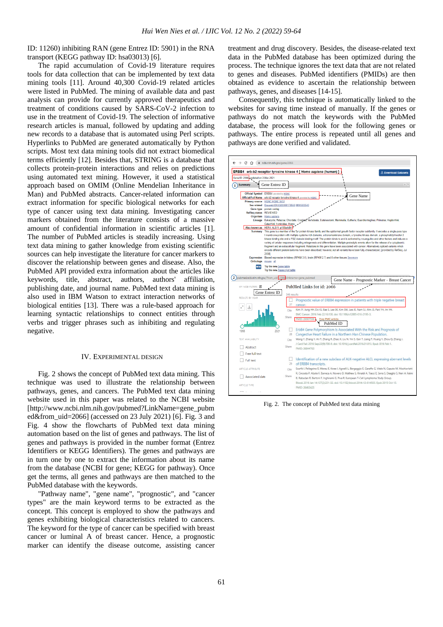ID: 11260) inhibiting RAN (gene Entrez ID: 5901) in the RNA transport (KEGG pathway ID: hsa03013) [6].

The rapid accumulation of Covid-19 literature requires tools for data collection that can be implemented by text data mining tools [11]. Around 40,300 Covid-19 related articles were listed in PubMed. The mining of available data and past analysis can provide for currently approved therapeutics and treatment of conditions caused by SARS-CoV-2 infection to use in the treatment of Covid-19. The selection of informative research articles is manual, followed by updating and adding new records to a database that is automated using Perl scripts. Hyperlinks to PubMed are generated automatically by Python scripts. Most text data mining tools did not extract biomedical terms efficiently [12]. Besides that, STRING is a database that collects protein-protein interactions and relies on predictions using automated text mining. However, it used a statistical approach based on OMIM (Online Mendelian Inheritance in Man) and PubMed abstracts. Cancer-related information can extract information for specific biological networks for each type of cancer using text data mining. Investigating cancer markers obtained from the literature consists of a massive amount of confidential information in scientific articles [1]. The number of PubMed articles is steadily increasing. Using text data mining to gather knowledge from existing scientific sources can help investigate the literature for cancer markers to discover the relationship between genes and disease. Also, the PubMed API provided extra information about the articles like keywords, title, abstract, authors, authors' affiliation, publishing date, and journal name. PubMed text data mining is also used in IBM Watson to extract interaction networks of biological entities [13]. There was a rule-based approach for learning syntactic relationships to connect entities through verbs and trigger phrases such as inhibiting and regulating negative.

#### IV. EXPERIMENTAL DESIGN

Fig. 2 shows the concept of PubMed text data mining. This technique was used to illustrate the relationship between pathways, genes, and cancers. The PubMed text data mining website used in this paper was related to the NCBI website [http://www.ncbi.nlm.nih.gov/pubmed?LinkName=gene\_pubm ed&from\_uid=2066] (accessed on 23 July 2021) [6]. Fig. 3 and Fig. 4 show the flowcharts of PubMed text data mining automation based on the list of genes and pathways. The list of genes and pathways is provided in the number format (Entrez Identifiers or KEGG Identifiers). The genes and pathways are in turn one by one to extract the information about its name from the database (NCBI for gene; KEGG for pathway). Once get the terms, all genes and pathways are then matched to the PubMed database with the keywords.

"Pathway name", "gene name", "prognostic", and "cancer types" are the main keyword terms to be extracted as the concept. This concept is employed to show the pathways and genes exhibiting biological characteristics related to cancers. The keyword for the type of cancer can be specified with breast cancer or luminal A of breast cancer. Hence, a prognostic marker can identify the disease outcome, assisting cancer treatment and drug discovery. Besides, the disease-related text data in the PubMed database has been optimized during the process. The technique ignores the text data that are not related to genes and diseases. PubMed identifiers (PMIDs) are then obtained as evidence to ascertain the relationship between pathways, genes, and diseases [14-15].

Consequently, this technique is automatically linked to the websites for saving time instead of manually. If the genes or pathways do not match the keywords with the PubMed database, the process will look for the following genes or pathways. The entire process is repeated until all genes and pathways are done verified and validated.



Fig. 2. The concept of PubMed text data mining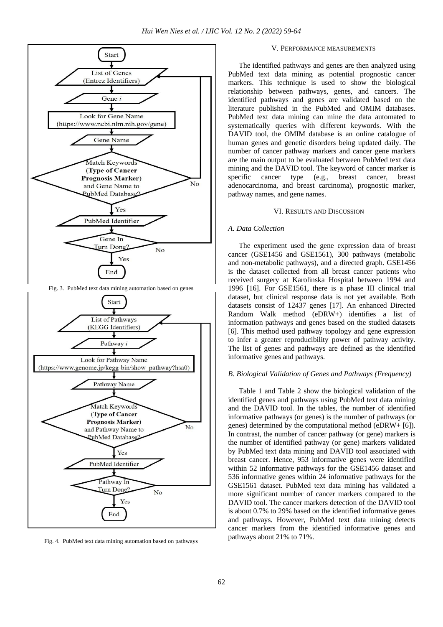

Fig. 4. PubMed text data mining automation based on pathways

### V. PERFORMANCE MEASUREMENTS

The identified pathways and genes are then analyzed using PubMed text data mining as potential prognostic cancer markers. This technique is used to show the biological relationship between pathways, genes, and cancers. The identified pathways and genes are validated based on the literature published in the PubMed and OMIM databases. PubMed text data mining can mine the data automated to systematically queries with different keywords. With the DAVID tool, the OMIM database is an online catalogue of human genes and genetic disorders being updated daily. The number of cancer pathway markers and cancer gene markers are the main output to be evaluated between PubMed text data mining and the DAVID tool. The keyword of cancer marker is specific cancer type (e.g., breast cancer, breast adenocarcinoma, and breast carcinoma), prognostic marker, pathway names, and gene names.

# VI. RESULTS AND DISCUSSION

#### *A. Data Collection*

The experiment used the gene expression data of breast cancer (GSE1456 and GSE1561), 300 pathways (metabolic and non-metabolic pathways), and a directed graph. GSE1456 is the dataset collected from all breast cancer patients who received surgery at Karolinska Hospital between 1994 and 1996 [16]. For GSE1561, there is a phase III clinical trial dataset, but clinical response data is not yet available. Both datasets consist of 12437 genes [17]. An enhanced Directed Random Walk method (eDRW+) identifies a list of information pathways and genes based on the studied datasets [6]. This method used pathway topology and gene expression to infer a greater reproducibility power of pathway activity. The list of genes and pathways are defined as the identified informative genes and pathways.

## *B. Biological Validation of Genes and Pathways (Frequency)*

Table 1 and Table 2 show the biological validation of the identified genes and pathways using PubMed text data mining and the DAVID tool. In the tables, the number of identified informative pathways (or genes) is the number of pathways (or genes) determined by the computational method (eDRW+ [6]). In contrast, the number of cancer pathway (or gene) markers is the number of identified pathway (or gene) markers validated by PubMed text data mining and DAVID tool associated with breast cancer. Hence, 953 informative genes were identified within 52 informative pathways for the GSE1456 dataset and 536 informative genes within 24 informative pathways for the GSE1561 dataset. PubMed text data mining has validated a more significant number of cancer markers compared to the DAVID tool. The cancer markers detection of the DAVID tool is about 0.7% to 29% based on the identified informative genes and pathways. However, PubMed text data mining detects cancer markers from the identified informative genes and pathways about 21% to 71%.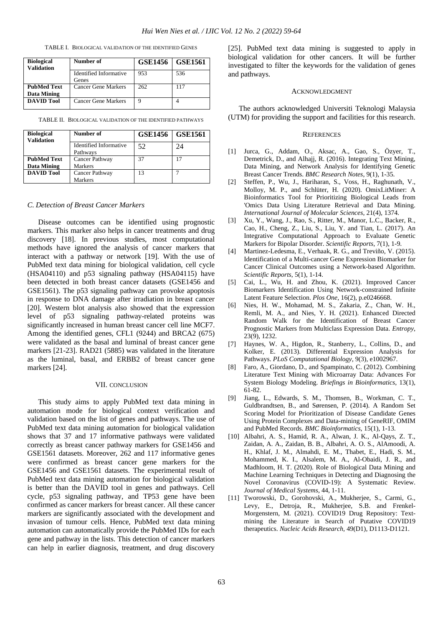TABLE I. BIOLOGICAL VALIDATION OF THE IDENTIFIED GENES

| <b>Biological</b><br><b>Validation</b> | Number of                       | <b>GSE1456</b> | <b>GSE1561</b> |
|----------------------------------------|---------------------------------|----------------|----------------|
|                                        | Identified Informative<br>Genes | 953            | 536            |
| <b>PubMed Text</b><br>Data Mining      | Cancer Gene Markers             | 262            | 117            |
| <b>DAVID Tool</b>                      | Cancer Gene Markers             | 9              |                |

TABLE II. BIOLOGICAL VALIDATION OF THE IDENTIFIED PATHWAYS

| <b>Biological</b>  | Number of                     | <b>GSE1456</b> | $\mid$ GSE1561 |
|--------------------|-------------------------------|----------------|----------------|
| <b>Validation</b>  | <b>Identified Informative</b> | 52             | 24             |
|                    | Pathways                      |                |                |
| <b>PubMed Text</b> | Cancer Pathway                | 37             | 17             |
| Data Mining        | <b>Markers</b>                |                |                |
| <b>DAVID Tool</b>  | Cancer Pathway                | 13             |                |
|                    | <b>Markers</b>                |                |                |

#### *C. Detection of Breast Cancer Markers*

Disease outcomes can be identified using prognostic markers. This marker also helps in cancer treatments and drug discovery [18]. In previous studies, most computational methods have ignored the analysis of cancer markers that interact with a pathway or network [19]. With the use of PubMed text data mining for biological validation, cell cycle (HSA04110) and p53 signaling pathway (HSA04115) have been detected in both breast cancer datasets (GSE1456 and GSE1561). The p53 signaling pathway can provoke apoptosis in response to DNA damage after irradiation in breast cancer [20]. Western blot analysis also showed that the expression level of p53 signaling pathway-related proteins was significantly increased in human breast cancer cell line MCF7. Among the identified genes, CFL1 (9244) and BRCA2 (675) were validated as the basal and luminal of breast cancer gene markers [21-23]. RAD21 (5885) was validated in the literature as the luminal, basal, and ERBB2 of breast cancer gene markers [24].

### VII. CONCLUSION

This study aims to apply PubMed text data mining in automation mode for biological context verification and validation based on the list of genes and pathways. The use of PubMed text data mining automation for biological validation shows that 37 and 17 informative pathways were validated correctly as breast cancer pathway markers for GSE1456 and GSE1561 datasets. Moreover, 262 and 117 informative genes were confirmed as breast cancer gene markers for the GSE1456 and GSE1561 datasets. The experimental result of PubMed text data mining automation for biological validation is better than the DAVID tool in genes and pathways. Cell cycle, p53 signaling pathway, and TP53 gene have been confirmed as cancer markers for breast cancer. All these cancer markers are significantly associated with the development and invasion of tumour cells. Hence, PubMed text data mining automation can automatically provide the PubMed IDs for each gene and pathway in the lists. This detection of cancer markers can help in earlier diagnosis, treatment, and drug discovery

[25]. PubMed text data mining is suggested to apply in biological validation for other cancers. It will be further investigated to filter the keywords for the validation of genes and pathways.

#### ACKNOWLEDGMENT

The authors acknowledged Universiti Teknologi Malaysia (UTM) for providing the support and facilities for this research.

#### **REFERENCES**

- [1] Jurca, G., Addam, O., Aksac, A., Gao, S., Özyer, T., Demetrick, D., and Alhajj, R. (2016). Integrating Text Mining, Data Mining, and Network Analysis for Identifying Genetic Breast Cancer Trends. *BMC Research Notes*, 9(1), 1-35.
- [2] Steffen, P., Wu, J., Hariharan, S., Voss, H., Raghunath, V., Molloy, M. P., and Schlüter, H. (2020). OmixLitMiner: A Bioinformatics Tool for Prioritizing Biological Leads from 'Omics Data Using Literature Retrieval and Data Mining. *International Journal of Molecular Sciences*, 21(4), 1374.
- [3] Xu, Y., Wang, J., Rao, S., Ritter, M., Manor, L.C., Backer, R., Cao, H., Cheng, Z., Liu, S., Liu, Y. and Tian, L. (2017). An Integrative Computational Approach to Evaluate Genetic Markers for Bipolar Disorder. *Scientific Reports*, 7(1), 1-9.
- [4] Martinez-Ledesma, E., Verhaak, R. G., and Treviño, V. (2015). Identification of a Multi-cancer Gene Expression Biomarker for Cancer Clinical Outcomes using a Network-based Algorithm. *Scientific Reports*, 5(1), 1-14.
- [5] Cai, L., Wu, H. and Zhou, K. (2021). Improved Cancer Biomarkers Identification Using Network-constrained Infinite Latent Feature Selection. *Plos One*, 16(2), p.e0246668.
- [6] Nies, H. W., Mohamad, M. S., Zakaria, Z., Chan, W. H., Remli, M. A., and Nies, Y. H. (2021). Enhanced Directed Random Walk for the Identification of Breast Cancer Prognostic Markers from Multiclass Expression Data. *Entropy*, 23(9), 1232.
- [7] Haynes, W. A., Higdon, R., Stanberry, L., Collins, D., and Kolker, E. (2013). Differential Expression Analysis for Pathways. *PLoS Computational Biology*, 9(3), e1002967.
- [8] Faro, A., Giordano, D., and Spampinato, C. (2012). Combining Literature Text Mining with Microarray Data: Advances For System Biology Modeling. *Briefings in Bioinformatics*, 13(1), 61-82.
- [9] Jiang, L., Edwards, S. M., Thomsen, B., Workman, C. T., Guldbrandtsen, B., and Sørensen, P. (2014). A Random Set Scoring Model for Prioritization of Disease Candidate Genes Using Protein Complexes and Data-mining of GeneRIF, OMIM and PubMed Records. *BMC Bioinformatics*, 15(1), 1-13.
- [10] Albahri, A. S., Hamid, R. A., Alwan, J. K., Al-Qays, Z. T., Zaidan, A. A., Zaidan, B. B., Albahri, A. O. S., AlAmoodi, A. H., Khlaf, J. M., Almahdi, E. M., Thabet, E., Hadi, S. M., Mohammed, K. I., Alsalem, M. A., Al-Obaidi, J. R., and Madhloom, H. T. (2020). Role of Biological Data Mining and Machine Learning Techniques in Detecting and Diagnosing the Novel Coronavirus (COVID-19): A Systematic Review. *Journal of Medical Systems*, 44, 1-11.
- [11] Tworowski, D., Gorohovski, A., Mukherjee, S., Carmi, G., Levy, E., Detroja, R., Mukherjee, S.B. and Frenkel-Morgenstern, M. (2021). COVID19 Drug Repository: Textmining the Literature in Search of Putative COVID19 therapeutics. *Nucleic Acids Research*, 49(D1), D1113-D1121.